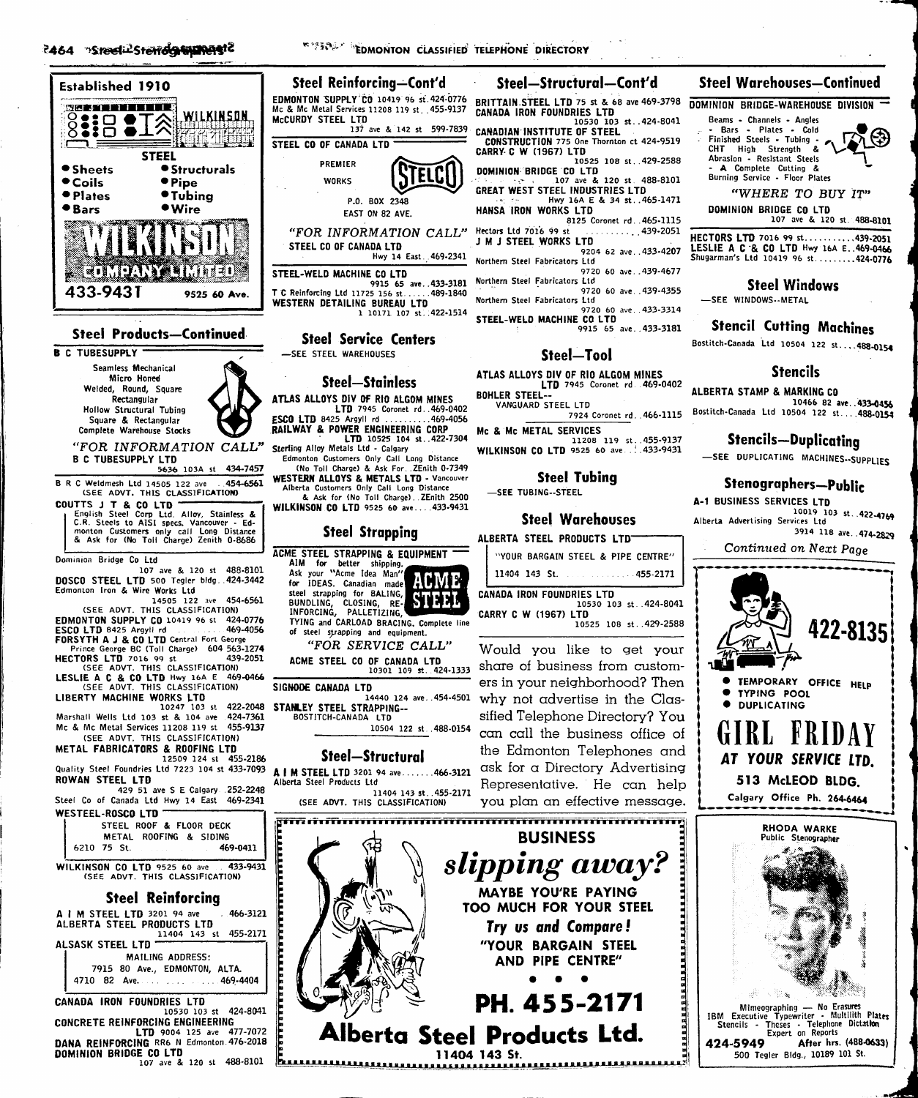

#### **Steel Products-Continued**

**B C TUBESUPPLY** Seamless Mechanical Micro Honed Weided, Round, Square Rectangular **Hollow Structural Tubing** Square & Rectangular Complete Warehouse Stocks

> "FOR INFORMATION CALL" **B C TUBESUPPLY LTD**

5636 103A st 434-7457 B R C Weldmesh Ltd 14505 122 ave 454-6561 (SEE ADVT. THIS CLASSIFICATION)

COUTTS J T & CO LTD English Steel Corp Ltd. Alloy, Stainless &<br>C.R. Steels to AISI specs. Vancouver - Ed-<br>monton Customers only call Long Distance<br>& Ask for (No Toll Charge) Zenith 0-8686

Dominion Bridge Co Ltd

107 ave & 120 st 488-8101 DOSCO STEEL LTD 500 Tegler bldg. 424-3442<br>Edmonton Iron & Wire Works Ltd

14505 122 454-6561 (SEE ADVT. THIS CLASSIFICATION) EDMONTON SUPPLY CO 10419 96 st 424-0776<br>ESCO LTD 8425 Argyli rd

ESCO LTD 8425 Argyll rd FORSYTH A J & CO LTD Central Fort George<br>Prince George BC (Toll Charge) 604 563-1274

HECTORS LTD 7016 99 st 439<br>(SEE ADVT. THIS CLASSIFICATION) 439-2051

LESLIE A C & CO LTD Hwy 16A E 469 469-0466

1440 124<br>LIBERTY MACHINE WORKS LTD<br>10247 103 st 422-2048 STANLEY STEEL STRAPPING--<br>ACTITCH-CANADA LTD Marshall Wells Ltd 103 st & 104 ave Mc & Mc Metal Services 11208 119 st 455-9137<br>(SEE ADVT, THIS CLASSIFICATION)

METAL FABRICATORS & ROOFING LTD

12509 124 st 455-2186 Quality Steel Foundries Ltd 7223 104 st 433-7093

ROWAN STEEL LTD 429 51 ave S E Calgary 252-2248 Steel Co of Canada Ltd Hwy 14 East 469-2341

WESTEEL-ROSCO LTD STEEL ROOF & FLOOR DECK METAL ROOFING & SIDING 469-0411 6210 75 St.

WILKINSON CO LTD 9525 60 ave 433 433-9431 **THEFT** 

F

F

#### **Steel Reinforcing**

A I M STEEL LTD 3201 94 ave 466-3121 ALBERTA STEEL PRODUCTS LTD<br>11404 143 st 455-2171

ALSASK STEEL LTD MAILING ADDRESS: 7915 80 Ave., EDMONTON, ALTA.  $1.1469 - 4404$ 4710 82 Ave.  $\alpha$  ,  $\alpha$  ,  $\alpha$ 

CANADA IRON FOUNDRIES LTD 10530 103 st 424-8041 CONCRETE REINFORCING ENGINEERING **EXECUTE 21 AND THE CARGINAL REINFORCING READS**<br>**DANA REINFORCING** RRS N Edmonton 476-2018 DOMINION BRIDGE CO LTD 107 ave & 120 st 488-8101

**\*\*\*\*\*\* EDMONTON CLASSIFIED TELEPHONE DIRECTORY** 

#### Steel Reinforcing—Cont'd EDMONTON SUPPLY CO 10419 96 st. 424-0776 Mc & Mc Metal Services 11208 119 st. 455-9137 McCURDY STEEL LTD 137 ave & 142 st 599-7839 STEEL CO OF CANADA LTD PREMIER STELCI **WORKS** P.O. BOX 2348 EAST ON 82 AVE. "FOR INFORMATION CALL" STEEL CO OF CANADA LTD Hwy 14 East. 469-2341 STEEL-WELD MACHINE CO LTD 9915 65 ave..433-3181 T C Reinforcing Ltd 11725 156 st. ..489-1840 WESTERN DETAILING BUREAU LTD 1 10171 107 st. 422-1514

**Steel Service Centers** -SEE STEEL WAREHOUSES

#### **Steel-Stainless**

ATLAS ALLOYS DIV OF RIO ALGOM MINES LTD 7945 Coronet rd. 469-0402<br>ESCO LTD 8425 Argyll rd ..........469-4056 RAILWAY & POWER ENGINEERING CORP<br>
LTD 10525 104 st..422-7304<br>
Sterling Alloy Metals Ltd - Calgary Edmonton Customers Only Call Long Distance

(No Toll Charge) & Ask For. . ZEnith 0-7349 WESTERN ALLOYS & METALS LTD - Vancouver<br>Alberta Customers Only Call Long Distance & Ask for (No Toll Charge). ZEnith 2500

WILKINSON CO LTD 9525 60 ave....433-9431

## **Steel Strapping**



<u>հասասարատաս</u>ա

## Steel-Structural-Cont'd

BRITTAIN STEEL LTD 75 st & 68 ave 469-3798 **CANADA IRON FOUNDRIES LTD**<br>10530 103 st..424-8041

- CANADIAN INSTITUTE OF STEEL CONSTRUCTION 775 One Thornton ct 424-9519<br>CARRY C W (1967) LTD
- 10525 108 st..429-2588 **DOMINION BRIDGE CO LTD**<br>107 ave & 120 st. 488-8101
- GREAT WEST STEEL INDUSTRIES LTD Hwy 16A E & 34 st. 465-1471<br>HANSA IRON WORKS LTD
- 8125 Coronet rd. . 465-1115 Hectors Ltd 7016 99 st
- $\cdots \cdots$  439-2051 J M J STEEL WORKS LTD
- 9204 62 ave..433-4207 Northern Steel Fabricators Ltd
- 9720 60 ave..439-4677 Northern Steel Fabricators Ltd
- 9720 60 ave. 439-4355 Northern Steel Fabricators Ltd
- 9720 60 ave. 433-3314

STEEL-WELD MACHINE CO LTD 9915 65 ave..433-3181

#### Steel-Tool

ATLAS ALLOYS DIV OF RIO ALGOM MINES LTD 7945 Coronet rd. 469-0402 BOHLER STEEL--

VANGUARD STEEL LTD 7924 Coronet rd. . 466-1115

Mc & Mc METAL SERVICES 11208 119 st..455-9137 WILKINSON CO LTD 9525 60 ave. .: .433-9431

#### **Steel Tubing**

-SEE TUBING--STEEL

#### **Steel Warehouses**

| <b>ALBERTA STEEL PRODUCTS LTD</b>  |
|------------------------------------|
| "YOUR BARGAIN STEEL & PIPE CENTRE" |
| 11404 143 St. 455-2171             |
| MANADA IDAN CAINADIES I TO         |

10530 103 st. 424-8041 **CARRY C W (1967) LTD**  $10525$  108 st. 429-2588

Would you like to get your share of business from customers in your neighborhood? Then why not advertise in the Classified Telephone Directory? You can call the business office of the Edmonton Telephones and ask for a Directory Advertising Representative. He can help you plan an effective message.



Try us and Compare! "YOUR BARGAIN STEEL AND PIPE CENTRE"

PH. 455-2171 Alberta Steel Products Ltd.

11404 143 St.

.............

## **Steel Warehouses-Continued**

DOMINION BRIDGE-WAREHOUSE DIVISION

Beams - Channels - Angles Bars - Plates - Cold Finished Steels - Tubing -CHT High Strength &<br>Abrasion - Resistant Steels A Complete Cutting Burning Service - Floor Plates



"WHERE TO BUY IT"

DOMINION BRIDGE CO LTD

107 ave & 120 st. 488-8101 HECTORS LTD 7016 99 st..........439-2051 LESLIE A C & CO LTD Hwy 16A E. 469-0466 Shugarman's Ltd 10419 96 st.........424-0776

## **Steel Windows**

-SEE WINDOWS -- METAL

## **Stencil Cutting Machines**

Bostitch-Canada Ltd 10504 122 st....488-0154

## **Stencils**

ALBERTA STAMP & MARKING CO 10466 82 ave. . 433-0456 Bostitch-Canada Ltd 10504 122 st...488-0154

## **Stencils-Duplicating**

-SEE DUPLICATING MACHINES .- SUPPLIES

## Stenographers-Public

A-1 BUSINESS SERVICES LTD 10019 103 st. . 422-4769 Alberta Advertising Services Ltd 3914 118 ave. 474-2829

Continued on Next Page

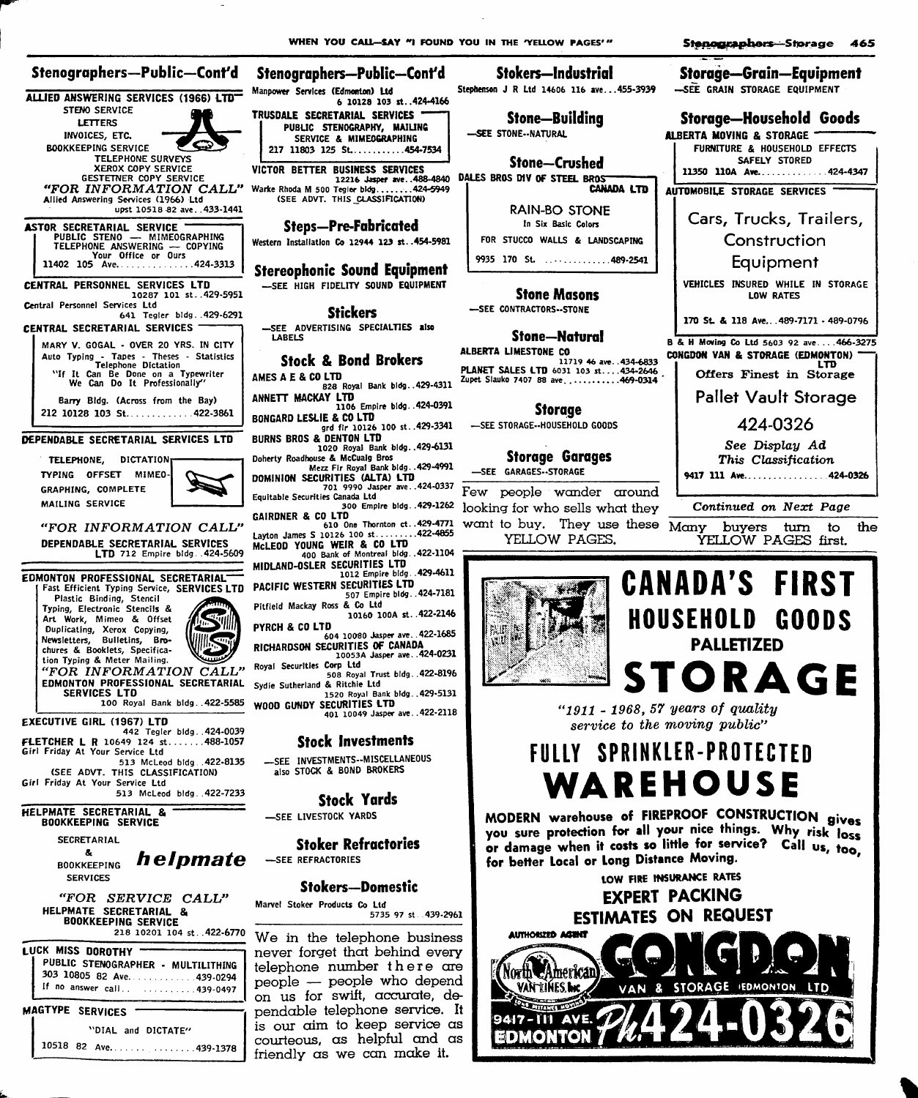6 10128 103 st. 424-4166

**Storage-Grain-Equipment** 

Storage-Household Goods

FURNITURE & HOUSEHOLD EFFECTS

SAFELY STORED

11350 110A Ave..............424-4347

Cars, Trucks, Trailers,

Construction

Equipment

VEHICLES INSURED WHILE IN STORAGE

**LOW RATES** 

170 St. & 118 Ave. . 489-7171 - 489-0796

B & H Moving Co Ltd 5603 92 ave....466-3275

Offers Finest in Storage

**Pallet Vault Storage** 

424-0326

See Display Ad

LTD

-SEE GRAIN STORAGE EQUIPMENT

ALBERTA MOVING & STORAGE

AUTOMOBILE STORAGE SERVICES

#### Stenographers-Public-Cont'd Stenographers—Public—Cont'd Manpower Services (Edmonton) Ltd ALLIED ANSWERING SERVICES (1966) LTD STENO SERVICE TRUSDALE SECRETARIAL SERVICES " **LETTERS** PUBLIC STENOGRAPHY, MAILING INVOICES, ETC. SERVICE & MIMEOGRAPHING **BOOKKEEPING SERVICE** 217 11803 125 St..........454-7534 **TELEPHONE SURVEYS** XEROX COPY SERVICE VICTOR BETTER BUSINESS SERVICES **GESTETNER COPY SERVICE**<br>"FOR INFORMATION CALL" ECCLO WEAPER WATER RIGHT WATER RIGHT NEWSTERS (SEE ADVT. THIS CLASSIFICATION) Allied Answering Services (1966) Ltd upst 10518 82 ave. . 433-1441 **ASTOR SECRETARIAL SERVICE PUBLIC STENO — MIMEOGRAPHING<br>TELEPHONE ANSWERING — COPYING<br>11402 105 AVe........................424-3313** CENTRAL PERSONNEL SERVICES LTD 10287 101 st. 429-5951 Central Personnel Services Ltd 641 Tegler bidg..429-6291 CENTRAL SECRETARIAL SERVICES LABELS MARY V. GOGAL - OVER 20 YRS. IN CITY Auto Typing - Tapes - Theses - Statistics<br>
We Telephone Dictation<br>
"Telephone on a Typewriter<br>
We Can Do It Professionally" Barry Bldg. (Across from the Bay) 212 10128 103 St.............422-3861 DEPENDABLE SECRETARIAL SERVICES LTD TELEPHONE. DICTATION: TYPING OFFSET MIMEO-**GRAPHING, COMPLETE** MAILING SERVICE "FOR INFORMATION CALL" DEPENDABLE SECRETARIAL SERVICES LTD 712 Empire bldg. . 424-5609 EDMONTON PROFESSIONAL SECRETARIAL Fast Efficient Typing Service, SERVICES LTD<br>Plastic Binding, Stencil<br>Typing, Electronic Stencils & Art Work, Mimeo & Offset Duplicating, Xerox Copying, Newsletters, Bulletins, Bro-<br>chures & Booklets, Specification Typing & Meter Mailing. "FOR INFORMATION CALL" EDMONTON PROFESSIONAL SECRETARIAL SERVICES LTD 100 Royal Bank bldg. . 422-5585 **EXECUTIVE GIRL (1967) LTD** FLETCHER L R 10649 124 st.......488-1057 Girl Friday At Your Service Ltd 513 McLeod bidg. . 422-8135 (SEE ADVT. THIS CLASSIFICATION) Girl Friday At Your Service Ltd 513 McLeod bldg. 422-7233 HELPMATE SECRETARIAL & **BOOKKEEPING SERVICE SECRETARIAL**  $\pmb{\delta}_i$ helpmate **BOOKKEEPING SERVICES** "FOR SERVICE CALL" Marvel Stoker Products Co Ltd HELPMATE SECRETARIAL & **BOOKKEEPING SERVICE** 218 10201 104 st. . 422-6770 **LUCK MISS DOROTHY** PUBLIC STENOGRAPHER - MULTILITHING 303 10805 82 Ave. . . . . . . . . . . . 439-0294 If no answer call.. . . . . . . . . . . 439-0497 MAGTYPE SERVICES . "DIAL and DICTATE"

10518 82 Ave. . . . . . . . . . . . . . . 439-1378

**Steps-Pre-Fabricated** Western Installation Co 12944 123 st. . 454-5981 **Stereophonic Sound Equipment** -SEE HIGH FIDELITY SOUND EQUIPMENT **Stickers** -SEE ADVERTISING SPECIALTIES also **Stock & Bond Brokers** AMES A E & CO LTD 828 Royal Bank bldg..429-4311 ANNETT MACKAY LTD<br>1106 Empire bldg. 424-0391 BONGARD LESLIE & CO LTD grd fir 10126 100 st. . 429-3341 BURNS BROS & DENTON LTD 1020 Royal Bank bidg..429-6131 Doherty Roadhouse & McCualg Bros Mezz Fir Royal Bank bidg. . 429-4991 DOMINION SECURITIES (ALTA) LTD 701 9990 Jasper ave...424-0337 Equitable Securities Canada Ltd 300 Empire bidg. . 429-1262 GAIRDNER & CO LTD 610 One Thornton ct..429-4771 Layton James S 10126 100 st..........422-4855<br>McLEOD YOUNG WEIR & CO LTD<br>400 Bank of Montreal bldg..422-1104 MIDLAND-OSLER SECURITIES LTD 1012 Empire bldg. . 429-4611 PACIFIC WESTERN SECURITIES LTD 507 Empire bldg. . 424-7181 Pitfield Mackay Ross & Co Ltd 10160 100A st. . 422-2146 PYRCH & CO LTD 604 10080 Jasper ave. . 422-1685 RICHARDSON SECURITIES OF CANADA<br>10053A Jasper ave. .424-0231

Royal Securities Corp Ltd 508 Royal Trust bldg. 422-8196 Sydie Sutherland & Ritchie Ltd 1520 Royal Bank bldg. . 429-5131 WOOD GUNDY SECURITIES LTD

401 10049 Jasper ave. . 422-2118

## **Stock Investments**

-SEE INVESTMENTS--MISCELLANEOUS also STOCK & BOND BROKERS

**Stock Yards** 

SEE LIVESTOCK YARDS

**Stoker Refractories** -SEE REFRACTORIES

## **Stokers-Domestic**

5735 97 st. 439-2961

We in the telephone business never forget that behind every telephone number there are people - people who depend on us for swift, accurate, dependable telephone service. It is our aim to keep service as courteous, as helpful and as friendly as we can make it.

Stokers—Industrial

Stephenson J R Ltd 14606 116 ave...455-3939

Stone-Building -SEE STONE--NATURAL

**Stone-Crushed** BUSINESS SERVICES<br>12216 Jasper ave., 488-4840 DALES BROS DIV OF STEEL BROS<br>CANADA LTD

**RAIN-BO STONE** In Six Basic Colors FOR STUCCO WALLS & LANDSCAPING 9935 170 St. . . . . . . . . . . . . 489-2541

## **Stone Masons**

-SEE CONTRACTORS--STONE

#### **Stone-Natural**

ALBERTA LIMESTONE CO CONGDON VAN & STORAGE (EDMONTON) 11719 46 ave. 434-6833<br>PLANET SALES LTD 6031 103 st....434-2646 Zupet Slauko 7407 88 ave...........469-0314

#### Storage

-SEE STORAGE--HOUSEHOLD GOODS

#### **Storage Garages** -SEE GARAGES--STORAGE

Few people wander around looking for who sells what they want to buy. They use these Many YELLOW PAGES.



YELLOW PAGES first.



" $1911$  -  $1968$ , 57 years of quality service to the moving public"

# FULLY SPRINKLER-PROTECTED WAREHOUSE

MODERN warehouse of FIREPROOF CONSTRUCTION gives you sure protection for all your nice things. Why risk loss or damage when it costs so little for service? Call us, too. for better Local or Long Distance Moving.

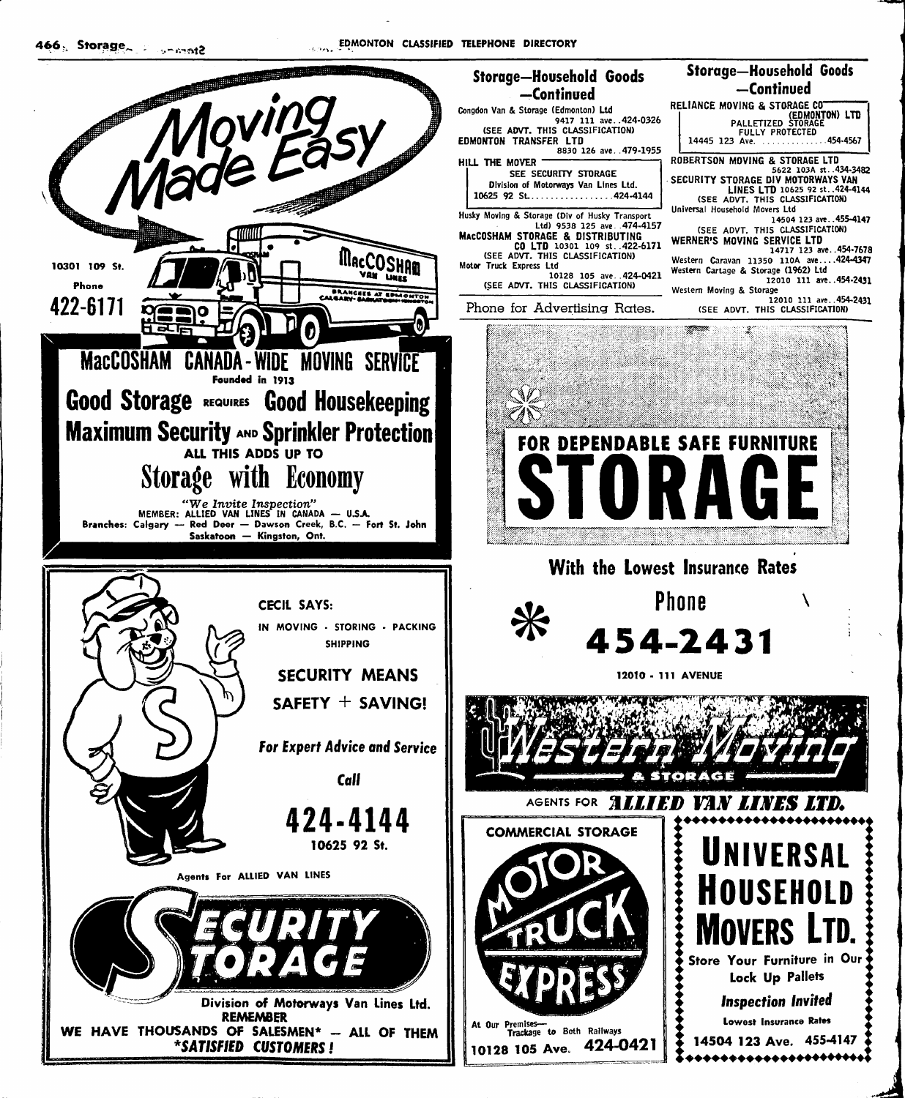

## -Continued -Continued RELIANCE MOVING & STORAGE CONTROLLANCE MOVING & STORAGE CONTROLLATE Congdon Van & Storage (Edmonton) Ltd 9417 111 ave..424-0326<br>SEE ADVT. THIS CLASSIFICATION FULLY PROTECTED<br>FULLY PROTECTED<br>14445 123 Ave. ...............454-4567 EDMONTON TRANSFER LTD 8830 126 ave. . 479-1955 ROBERTSON MOVING & STORAGE LTD<br>
5622 103A st. 434-3482<br>
SECURITY STORAGE DIV MOTORWAYS VAN<br>
LINES LTD 10625 92 st. 424-4144<br>
(SEE ADVT. THIS CLASSIFICATION)<br>
Universal Household Movers Ltd<br>
Universal Household Movers Ltd HILL THE MOVER SEE SECURITY STORAGE Division of Motorways Van Lines Ltd. 10625 92 St.................424-4144 Husky Moving & Storage (Div of Husky Transport)<br>Ltd) 9538 125 ave..474-4157<br>MacCOSHAM STORAGE & DISTRIBUTING<br>CO LTD 10301 109 st..422-6171 **SILENGER 2018**<br>
IA504 123 ave. 455-4147<br>
SEE ADVT. THIS CLASSIFICATION)<br>
WERNER'S MOVING SERVICE LTD<br>
14717 123 ave. 454-7678 (SEE ADVT. THIS CLASSIFICATION) Western Caravan 11350 110A ave....424-4347<br>Western Cartage & Storage (1962) Ltd<br>12010 111 ave..454-2431 Motor Truck Express Ltd<br>10128 105 ave. 424-0421 (SEE ADVT. THIS CLASSIFICATION) Western Moving & Storage I2010 111 ave..454-2431<br>12010 111 ave..454-2431<br>(SEE ADVT. THIS CLASSIFICATION) Phone for Advertising Rates. FOR DEPENDABLE SAFE FURNITURE With the Lowest Insurance Rates **Phone** 454-2431 12010 - 111 AVENUE AGENTS FOR **ALLIED VAN LINES LTD. COMMERCIAL STORAGE** UNIVERSAL NIISFHNI N **VERS** Store Your Furniture in Our Lock Up Pallets **Inspection Invited** Lowest Insurance Rates At Our Premises-<br>Trackage to Both Railways 14504 123 Ave. 455-4147 424-0421

**Storage-Household Goods**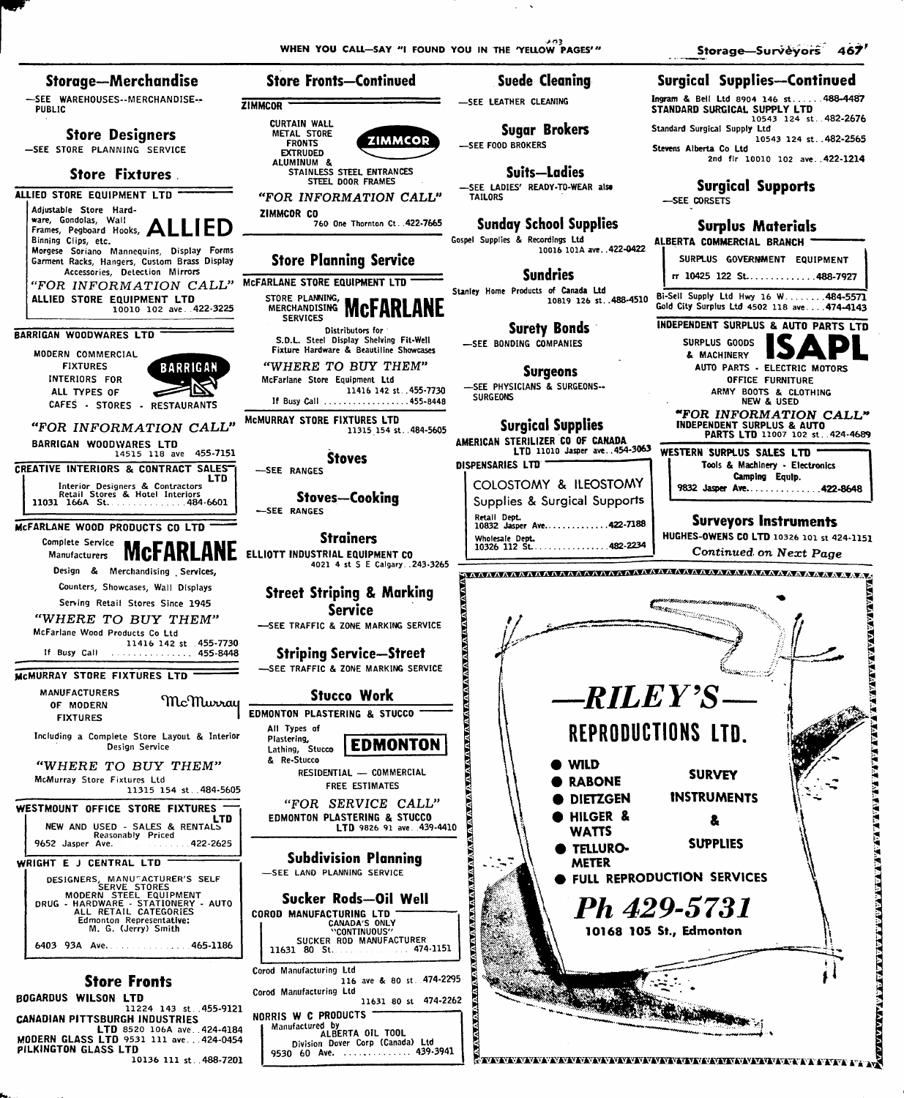WHEN YOU CALL-SAY "I FOUND YOU IN THE 'YELLOW PAGES'"

Storage-Surveyors 467

**TALINE REPORT OF A STATISTICAL CONTRACT CONTRACT OF A STATISTICAL CONTRACT OF A STATISTICAL CONTRACT OF A STATISTICAL CONTRACT OF A STATISTICAL CONTRACT OF A STATISTICAL CONTRACT OF A STATISTICAL CONTRACT OF A STATISTICAL** 

**E TATAR A TATAR A TATAR A TATAR DE SE DE 1999** 

Storage—Merchandise **Store Fronts-Continued** Suede Cleaning **Surgical Supplies--Continued** -SEE WAREHOUSES--MERCHANDISE-Ingram & Bell Ltd 8904 146 st..... 488-4487 -SEE LEATHER CLEANING ZIMMCOR **STANDARD SURGICAL SUPPLY LTD**<br>10543 124 st. 482-2676 **PUBLIC CURTAIN WALL** Standard Surgical Supply Ltd **Sugar Brokers** ر ...<br>10543 124 st. .482-2565<br>Stevens Alberta Co Ltd **Store Designers** METAL STORE **ZIMMCOR FRONTS SEE FOOD BROKERS** -SEE STORE PLANNING SERVICE EXTRUDED<br>ALUMINUM & 2nd fir 10010 102 ave. 422-1214 STAINLESS STEEL ENTRANCES **Suits-Ladies Store Fixtures STEEL DOOR FRAMES Surgical Supports** -SEE LADIES' READY-TO-WEAR also ALLIED STORE EQUIPMENT LTD "FOR INFORMATION CALL" **TAILORS** -SEE CORSETS Adjustable Store Hard-ZIMMCOR CO ware, Gondolas, Wall<br>Frames, Pegboard Hooks, ALLIED 760 One Thornton Ct. . 422-7665 **Sunday School Supplies Surplus Materials** Gospel Supplies & Recordings Ltd Binning Clips, etc. ALBERTA COMMERCIAL BRANCH 10016 101A ave. . 422-0422 Morgese Soriano Mannequins, Display Forms SURPLUS GOVERNMENT EQUIPMENT Garment Racks, Hangers, Custom Brass Display **Store Planning Service** Accessories, Detection Mirrors **Sundries** rr 10425 122 St.............488-7927 "FOR INFORMATION CALL" MCFARLANE STORE EQUIPMENT LTD Stanley Home Products of Canada Ltd Bi-Sell Supply Ltd Hwy 16 W. ...... 484-5571 STORE PLANNING. ALLIED STORE EQUIPMENT LTD 10819 126 st..488-4510 MERCHANDISING MCFARLANE 10010 102 ave 422-3225 Gold City Surplus Ltd 4502 118 ave....474-4143 SERVICES **INDEPENDENT SURPLUS & AUTO PARTS LTD Surety Bonds** Distributors for BARRIGAN WOODWARES LTD S.D.L. Steel Display Shelving Fit-Well SURPLUS GOODS -SEE BONDING COMPANIES Fixture Hardware & Beautiline Showcases MODERN COMMERCIAL & MACHINERY **FIXTURES** "WHERE TO BUY THEM" **BARRIGAN** AUTO PARTS - ELECTRIC MOTORS **Surgeons** INTERIORS FOR McFarlane Store Equipment Ltd OFFICE FURNITURE SEE PHYSICIANS & SURGEONS --11416 142 st. . 455-7730 ARMY BOOTS & CLOTHING ALL TYPES OF **SURGEONS** If Busy Call ..................455-8448 **NEW & USED** CAFES - STORES - RESTAURANTS **"FOR INFORMATION CALL"**<br>INDEPENDENT SURPLUS & AUTO<br>PARTS LTD 11007 102 st...424-4689 MCMURRAY STORE FIXTURES LTD **Surgical Supplies** "FOR INFORMATION CALL"  $11315$  154 st. 484-5605 AMERICAN STERILIZER CO OF CANADA BARRIGAN WOODWARES LTD LTD 11010 Jasper ave..454-3063 WESTERN SURPLUS SALES LTD 14515 118 ave 455-7151 **Stoves** DISPENSARIES LTD Tools & Machinery - Electronics CREATIVE INTERIORS & CONTRACT SALES -SEE RANGES ITD<br>
Interior Designers & Contractors<br>
Retail Stores & Hotel Interiors<br>
11031 166A St. Camping Equip. COLOSTOMY & ILEOSTOMY 9832 Jasper Ave..............422-8648 **Stoves-Cooking** Supplies & Surgical Supports SEE RANGES Retail Dept.<br>10832 Jasper Ave.............422-7188 **Surveyors Instruments** MCFARLANE WOOD PRODUCTS CO LTD HUGHES-OWENS CO LTD 10326 101 st 424-1151 Wholesale Dept.<br>10326 112 St. **Strainers** Complete Service 482-2234 **MCFARLANE** ELLIOTT INDUSTRIAL EQUIPMENT CO Continued on Next Page Manufacturers 4021 4 st S E Calgary...243-3265 Design & Merchandising Services Counters, Showcases, Wall Displays **Street Striping & Marking** Serving Retail Stores Since 1945 **Communication Service** "WHERE TO BUY THEM" -SEE TRAFFIC & ZONE MARKING SERVICE McFarlane Wood Products Co Ltd 11416 142 st 455-7730 If Busy Call  $\ldots$  . . . 455-8448 **Striping Service-Street** -SEE TRAFFIC & ZONE MARKING SERVICE MCMURRAY STORE FIXTURES LTD -RILEY'S **MANUFACTURERS Stucco Work** McMurray OF MODERN *<b><i><u>INTERNATIONAL ATALIANA</u>* EDMONTON PLASTERING & STUCCO **FIXTURES** REPRODUCTIONS LTD. All Types of Including a Complete Store Layout & Interior Plastering,<br>Lathing, Stucco **EDMONTON** Design Service & Re-Stucco **WILD** "WHERE TO BUY THEM" RESIDENTIAL - COMMERCIAL **SURVEY** McMurray Store Fixtures Ltd **RABONE FREE ESTIMATES** 11315 154 st. 484-5605 **INSTRUMENTS DIETZGEN** "FOR SERVICE CALL" WESTMOUNT OFFICE STORE FIXTURES **EDMONTON PLASTERING & STUCCO** HILGER & **NEW AND USED - SALES & RENTALS**<br>552 Jasper Ave. (1994) Priced 1999 2006 2 LTD 9826 91 ave. 439-4410 **WATTS** Redst<br>.9652 Jasper Ave **SUPPLIES TELLURO-Subdivision Planning** WRIGHT E J CENTRAL LTD **METER** -SEE LAND PLANNING SERVICE **DESIGNERS, MANU<sup>-</sup>ACTURER'S SELF<br>MODERN STEEL EQUIPMENT<br>MODERN STEEL EQUIPMENT<br>RUG - HARDWARE - STATIONERY - AU<br>ALL RETAIL CATEGORIES<br>Edmont Representative:<br>M. G. (Jerry) Smith** FULL REPRODUCTION SERVICES Sucker Rods-Oil Well Ph 429-5731 DRUG  $\cdot$  auto COROD MANUFACTURING LTD CANADA'S ONLY 10168 105 St., Edmonton SUCKER ROD MANUFACTURER<br>474 474 80 St. 6403 93A Ave. . . . . . . . . . . . . . 465-1186 474-1151 Corod Manufacturing Ltd 116 ave & 80 st. 474-2295 **Store Fronts** Corod Manufacturing Ltd **BOGARDUS WILSON LTD** 11631 80 st 474-2262 11224 143 st 455-9121 NORRIS W C PRODUCTS **CANADIAN PITTSBURGH INDUSTRIES** Manufactured by<br>ALBERTA OIL TOOL MODERN GLASS LTD 8520 106A ave...424-4184<br>PID 8520 106A ave...424-4184<br>PILKINGTON GLASS LTD

Division Dover Corp (Canada) Ltd 9530 60 Ave. . . . . . . . . . . . . . . 439-3941

10136 111 st. 488-7201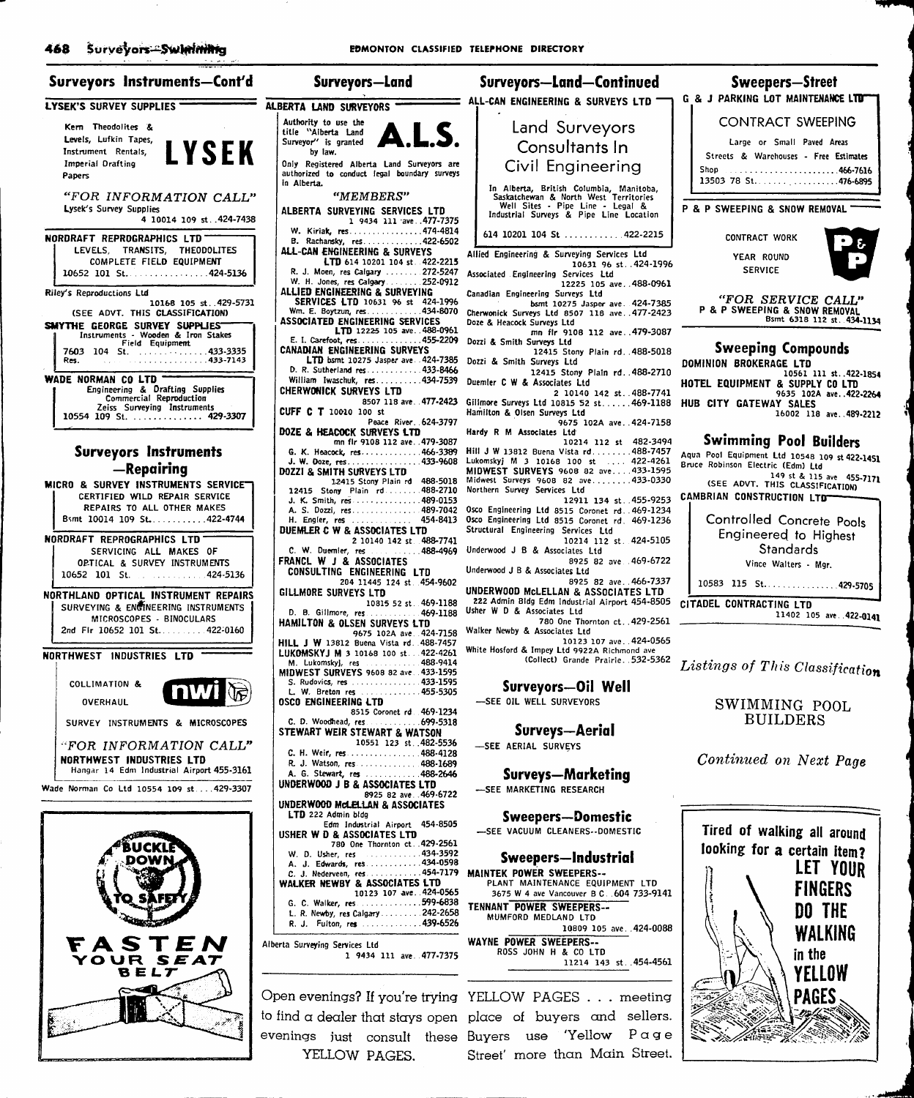| Surveyors-Land                                                                                            | <b>Surveyors-Land-Continued</b>                                                                                      | <b>Sweepers-Street</b>                                                             |
|-----------------------------------------------------------------------------------------------------------|----------------------------------------------------------------------------------------------------------------------|------------------------------------------------------------------------------------|
| BERTA LAND SURVEYORS                                                                                      | ALL-CAN ENGINEERING & SURVEYS LTD                                                                                    | G & J PARKING LOT MAINTENANCE LTD                                                  |
| Authority to use the<br>LS.<br>title "Alberta Land                                                        | Land Surveyors                                                                                                       | CONTRACT SWEEPING                                                                  |
| Surveyor" is granted<br>by law.                                                                           | Consultants In                                                                                                       | Large or Small Paved Areas<br>Streets & Warehouses - Free Estimates                |
| Only Registered Alberta Land Surveyors are<br>authorized to conduct legal boundary surveys<br>in Alberta. | Civil Engineering                                                                                                    | 13503 78 St. 476-6895                                                              |
| "MEMBERS"                                                                                                 | In Alberta, British Columbia, Manitoba,<br>Saskatchewan & North West Territories<br>Well Sites - Pipe Line - Legal & | <b>P &amp; P SWEEPING &amp; SNOW REMOVAL</b>                                       |
| <b>ALBERTA SURVEYING SERVICES LTD</b><br>1 9434 111 ave477-7375<br>W. Kiriak, res474-4814                 | Industrial Surveys & Pipe Line Location                                                                              |                                                                                    |
| B. Rachansky, res422-6502<br>ALL-CAN ENGINEERING & SURVEYS                                                | 614 10201 104 St  422-2215                                                                                           | <b>CONTRACT WORK</b>                                                               |
| LTD 614 10201 104 st 422-2215<br>R. J. Moen, res Calgary  272-5247                                        | Allied Engineering & Surveying Services Ltd<br>10631 96 st. 424-1996<br>Associated Engineering Services Ltd          | YEAR ROUND<br><b>SERVICE</b>                                                       |
| W. H. Jones, res Calgary  252-0912<br>ALLIED ENGINEERING & SURVEYING<br>SERVICES LTD 10631 96 st 424-1996 | 12225 105 ave488-0961<br>Canadian Engineering Surveys Ltd                                                            | "FOR SERVICE CALL"                                                                 |
| Wm. E. Boytzun, res434-8070<br>ASSOCIATED ENGINEERING SERVICES                                            | bsmt 10275 Jasper ave. 424-7385<br>Cherwonick Surveys Ltd 8507 118 ave. . 477-2423<br>Doze & Heacock Surveys Ltd     | P & P SWEEPING & SNOW REMOVAL<br>Bsmt 6318 112 st. 434-1134                        |
| LTD 12225 105 ave488-0961<br>E. I. Carefoot, res455-2209                                                  | mn fir 9108 112 ave479-3087<br>Dozzi & Smith Surveys Ltd                                                             | <b>Sweeping Compounds</b>                                                          |
| CANADIAN ENGINEERING SURVEYS<br>LTD bsmt 10275 Jasper ave 424-7385<br>D. R. Sutherland res 433-8466       | 12415 Stony Plain rd. 488-5018<br>Dozzi & Smith Surveys Ltd                                                          | DOMINION BROKERAGE LTD                                                             |
| William Iwaschuk, res434-7539<br>CHERWONICK SURVEYS LTD                                                   | 12415 Stony Plain rd. 488-2710<br>Duemler C W & Associates Ltd<br>2 10140 142 st. 488-7741                           | 10561 111 st422-1854<br>HOTEL EQUIPMENT & SUPPLY CO LTD<br>9635 102A ave422-2264   |
| 8507 118 ave. 477-2423<br>CUFF $C$ T 10010 100 st                                                         | Gillmore Surveys Ltd 10815 52 st 469-1188<br>Hamilton & Olsen Surveys Ltd                                            | HUB CITY GATEWAY SALES<br>16002 118 ave489-2212                                    |
| Peace River 624-3797<br>DOZE & HEACOCK SURVEYS LTD<br>mn flr 9108 112 ave479-3087                         | 9675 102A ave. 424-7158<br>Hardy R M Associates Ltd<br>10214 112 st 482-3494                                         | <b>Swimming Pool Builders</b>                                                      |
| G. K. Heacock, res466-3389<br>J. W. Doze, res433-9608                                                     | Hill J W 13812 Buena Vista rd488-7457<br>Lukomskyj M 3 10168 100 st  422-4261                                        | Aqua Pool Equipment Ltd 10548 109 st 422-1451<br>Bruce Robinson Electric (Edm) Ltd |
| DOZZI & SMITH SURVEYS LTD<br>12415 Stony Plain rd 488-5018                                                | MIDWEST SURVEYS 9608 82 ave433-1595<br>Midwest Surveys 9608 82 ave433-0330                                           | 149 st & 115 ave 455-7171<br>(SEE ADVT. THIS CLASSIFICATION)                       |
| 12415 Stony Plain rd 488-2710<br>J. K. Smith, res489-0153<br>A. S. Dozzi, res489-7042                     | Northern Survey Services Ltd<br>12911 134 st. 455-9253<br>Osco Engineering Ltd 8515 Coronet rd. 469-1234             | CAMBRIAN CONSTRUCTION LTD                                                          |
| H. Engler, res  454-8413<br>DUEMLER C W & ASSOCIATES LTD                                                  | Osco Engineering Ltd 8515 Coronet rd. 469-1236<br>Structural Engineering Services Ltd                                | Controlled Concrete Pools<br>Engineered to Highest                                 |
| 2 10140 142 st 488-7741<br>C. W. Duemler, res  488-4969                                                   | 10214 112 st. 424-5105<br>Underwood J B & Associates Ltd                                                             | Standards                                                                          |
| FRANCL W J & ASSOCIATES<br>CONSULTING ENGINEERING LTD                                                     | 8925 82 ave .469-6722<br>Underwood J B & Associates Ltd<br>8925 82 ave. 466-7337                                     | Vince Walters - Mgr.                                                               |
| 204 11445 124 st. 454-9602<br>GILLMORE SURVEYS LTD<br>10815 52 st. 469-1188                               | UNDERWOOD MCLELLAN & ASSOCIATES LTD<br>222 Admin Bldg Edm Industrial Airport 454-8505                                | 10583 115 St. 429-5705<br>CITADEL CONTRACTING LTD                                  |
| D. B. Gillmore, res 469-1188<br>HAMILTON & OLSEN SURVEYS LTD                                              | Usher W D & Associates Ltd<br>780 One Thornton ct429-2561                                                            | 11402 105 ave. 422-0141                                                            |
| 9675 102A ave. 424-7158<br><b>HILL J W</b> 13812 Buena Vista rd. 488-7457                                 | Walker Newby & Associates Ltd<br>10123 107 ave424-0565<br>White Hosford & Impey Ltd 9922A Richmond ave               |                                                                                    |
| LUKOMSKYJ M 3 10168 100 st422-4261<br>M. Lukomskyj, res  488-9414<br>MIDWEST SURVEYS 9608 82 ave 433-1595 | (Collect) Grande Prairie. 532-5362                                                                                   | Listings of This Classification                                                    |
| S. Rudovics, res 433-1595<br>L. W. Breton res  455-5305                                                   | Surveyors-Oil Well                                                                                                   |                                                                                    |
| OSCO ENGINEERING LTD<br>8515 Coronet rd 469-1234                                                          | -SEE OIL WELL SURVEYORS                                                                                              | SWIMMING POOL<br><b>BUILDERS</b>                                                   |
| STEWART WEIR STEWART & WATSON<br>10551 123 st. 482-5536                                                   | Surveys—Aerial                                                                                                       |                                                                                    |
| C. H. Weir, res488-4128<br>R. J. Watson, res 488-1689                                                     | -SEE AERIAL SURVEYS                                                                                                  | Continued on Next Page                                                             |
| A. G. Stewart, res 488-2646<br>UNDERWOOD J B & ASSOCIATES LTD                                             | Surveys—Marketing<br>--SEE MARKETING RESEARCH                                                                        |                                                                                    |
| 8925 82 ave469-6722<br>UNDERWOOD McLELLAN & ASSOCIATES<br>LTD 222 Admin bldg                              |                                                                                                                      |                                                                                    |
| Edm Industrial Airport 454-8505<br>USHER W D & ASSOCIATES LTD                                             | Sweepers—Domestic<br>-SEE VACUUM CLEANERS--DOMESTIC                                                                  | Tired of walking all around                                                        |
| 780 One Thornton ct. . 429-2561<br>W. D. Usher, res  434-3592<br>A. J. Edwards, res434-0598               | Sweepers—Industrial                                                                                                  | looking for a certain item?                                                        |
| C. J. Nederveen, res454-7179<br>WALKER NEWBY & ASSOCIATES LTD                                             | <b>MAINTEK POWER SWEEPERS--</b><br>PLANT MAINTENANCE EQUIPMENT LTD                                                   | <b>LET YOUR</b>                                                                    |
| 10123 107 ave. 424-0565<br>G. C. Walker, res599-6838                                                      | 3675 W 4 ave Vancouver B C. 604 733-9141<br>TENNANT POWER SWEEPERS--                                                 | FINGERS<br>DO THE                                                                  |
| L. R. Newby, res Calgary  242-2658<br>R. J. Fulton, res 439-6526                                          | MUMFORD MEDLAND LTD<br>10809 105 ave424-0088                                                                         | WALKING                                                                            |
|                                                                                                           | WAYNE POWER SWEEPERS                                                                                                 |                                                                                    |

Alberta Surveying Services Ltd 1 9434 111 ave. 477-7375

YELLOW PAGES.

WAYNE POWER SWEEPERS-- ROSS JOHN H & CO LTD 11214 143 St..454-4561

Open evenings? If you're trying YELLOW PAGES . . . meeting to find  $\alpha$  dealer that stays open place of buyers and sellers. evenings just consult these Buyers use 'Yellow  $P \alpha g$ e Street' more than Main Street.



468 SURVEVORS-SWIRINING SOME SEDMONTON CLASSIFIED TELEPHONE DIRECTORY Surveyors Instruments-Cont'd  $=$   $\overline{A L}$ LYSEK'S SURVEY SUPPLIES Kem Theodolites & Levels, Lufkin Tapes, YSEK Instrument Rentals, Imperial Drafting Papers "FOR INFORMATION CALL" Lysek's Survey Supplies 4 10014 109 St. .424-7438 NORDRAFT REPROGRAPHICS LTD LEVELS, TRANSITS, THEODOLITES COMPLETE FIELD EQUIPMENT 10652 101 St. . . . . . . . . . . . . . . 424-5136 Riley's Reproductions Ltd 10168 105 st. .429-5731<br>(SEE ADVT. THIS CLASSIFICATION) SMYTHE GEORGE SURVEY SUPPLIES<br>Instruments - Wooden & Iron Stakes<br>Field Equipment 7603 104 St. . . . . . . . . . . . . . 433-3335<br>Res 433-7143 WADE NORMAN CO LTD Engineering & Drafting Supplies Commercial Reproduction Zeiss Surveying Instruments 10554 109 St. . . . . . . . . . . . . . . 429-3307 Surveyors Instruments —Repairing **MICRO & SURVEY INSTRUMENTS SERVICE"** CERTIFIED WILD REPAIR SERVICE REPAIRS TO ALL OTHER MAKES Bsmt 10014 109 St...........422-4744 NORDRAFT REPROGRAPHICS LTD SERVICING ALL MAKES OF OPTICAL & SURVEY INSTRUMENTS 10652 101 St. . . . . . . . . . . . 424-5136 NORTHLAND OPTICAL INSTRUMENT REPAIRS SURVEYING & ENOINEERING INSTRUMENTS MICROSCOPES - BINOCULARS 2nd Fir 10652 101 St..........422-0160 NORTHWEST INDUSTRIES LTD COLLIMATION & nw **OVERHAUL** SURVEY INSTRUMENTS & MICROSCOPES "FOR INFORMATION CALL" NORTHWEST INDUSTRIES LTD Hangar 14 Edm Industrial Airport 455-3161 Wade Norman Co Ltd 10554 109 st . . .429-3307 STEN<br>JR S*EAT*  $SEA7$ B E L7-